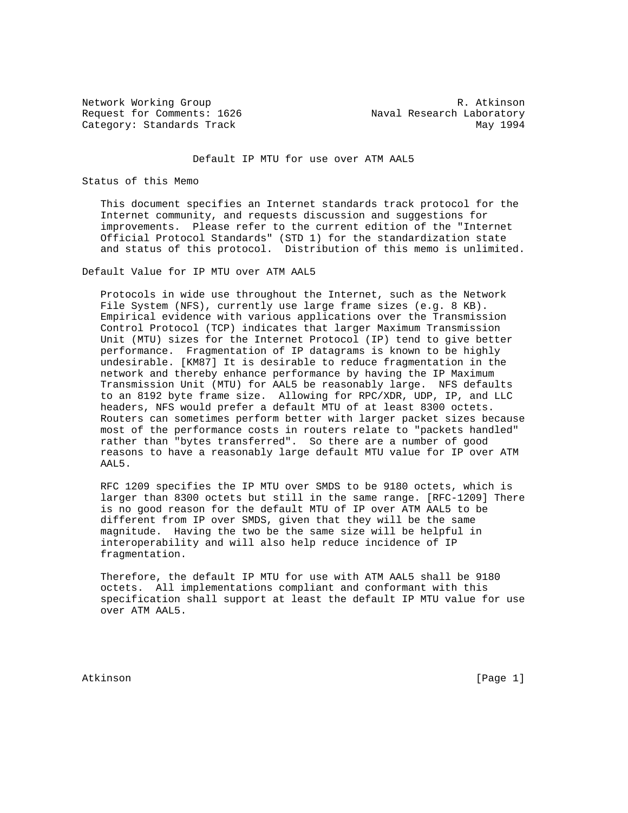Request for Comments: 1626 Maval Research Laboratory Category: Standards Track May 1994

Network Working Group and the set of the set of the set of the R. Atkinson

### Default IP MTU for use over ATM AAL5

### Status of this Memo

 This document specifies an Internet standards track protocol for the Internet community, and requests discussion and suggestions for improvements. Please refer to the current edition of the "Internet Official Protocol Standards" (STD 1) for the standardization state and status of this protocol. Distribution of this memo is unlimited.

Default Value for IP MTU over ATM AAL5

 Protocols in wide use throughout the Internet, such as the Network File System (NFS), currently use large frame sizes (e.g. 8 KB). Empirical evidence with various applications over the Transmission Control Protocol (TCP) indicates that larger Maximum Transmission Unit (MTU) sizes for the Internet Protocol (IP) tend to give better performance. Fragmentation of IP datagrams is known to be highly undesirable. [KM87] It is desirable to reduce fragmentation in the network and thereby enhance performance by having the IP Maximum Transmission Unit (MTU) for AAL5 be reasonably large. NFS defaults to an 8192 byte frame size. Allowing for RPC/XDR, UDP, IP, and LLC headers, NFS would prefer a default MTU of at least 8300 octets. Routers can sometimes perform better with larger packet sizes because most of the performance costs in routers relate to "packets handled" rather than "bytes transferred". So there are a number of good reasons to have a reasonably large default MTU value for IP over ATM AAL5.

 RFC 1209 specifies the IP MTU over SMDS to be 9180 octets, which is larger than 8300 octets but still in the same range. [RFC-1209] There is no good reason for the default MTU of IP over ATM AAL5 to be different from IP over SMDS, given that they will be the same magnitude. Having the two be the same size will be helpful in interoperability and will also help reduce incidence of IP fragmentation.

 Therefore, the default IP MTU for use with ATM AAL5 shall be 9180 octets. All implementations compliant and conformant with this specification shall support at least the default IP MTU value for use over ATM AAL5.

Atkinson [Page 1]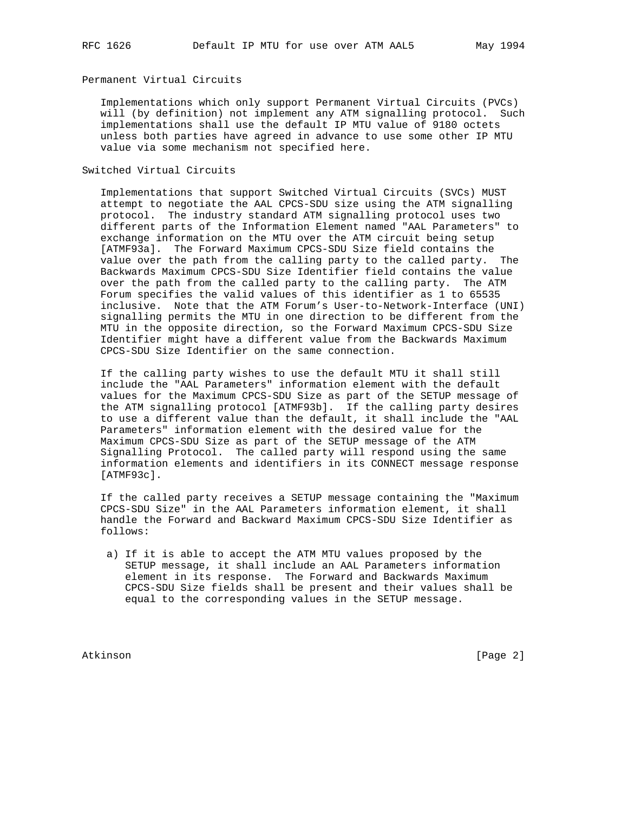# Permanent Virtual Circuits

 Implementations which only support Permanent Virtual Circuits (PVCs) will (by definition) not implement any ATM signalling protocol. Such implementations shall use the default IP MTU value of 9180 octets unless both parties have agreed in advance to use some other IP MTU value via some mechanism not specified here.

## Switched Virtual Circuits

 Implementations that support Switched Virtual Circuits (SVCs) MUST attempt to negotiate the AAL CPCS-SDU size using the ATM signalling protocol. The industry standard ATM signalling protocol uses two different parts of the Information Element named "AAL Parameters" to exchange information on the MTU over the ATM circuit being setup [ATMF93a]. The Forward Maximum CPCS-SDU Size field contains the value over the path from the calling party to the called party. The Backwards Maximum CPCS-SDU Size Identifier field contains the value over the path from the called party to the calling party. The ATM Forum specifies the valid values of this identifier as 1 to 65535 inclusive. Note that the ATM Forum's User-to-Network-Interface (UNI) signalling permits the MTU in one direction to be different from the MTU in the opposite direction, so the Forward Maximum CPCS-SDU Size Identifier might have a different value from the Backwards Maximum CPCS-SDU Size Identifier on the same connection.

 If the calling party wishes to use the default MTU it shall still include the "AAL Parameters" information element with the default values for the Maximum CPCS-SDU Size as part of the SETUP message of the ATM signalling protocol [ATMF93b]. If the calling party desires to use a different value than the default, it shall include the "AAL Parameters" information element with the desired value for the Maximum CPCS-SDU Size as part of the SETUP message of the ATM Signalling Protocol. The called party will respond using the same information elements and identifiers in its CONNECT message response [ATMF93c].

 If the called party receives a SETUP message containing the "Maximum CPCS-SDU Size" in the AAL Parameters information element, it shall handle the Forward and Backward Maximum CPCS-SDU Size Identifier as follows:

 a) If it is able to accept the ATM MTU values proposed by the SETUP message, it shall include an AAL Parameters information element in its response. The Forward and Backwards Maximum CPCS-SDU Size fields shall be present and their values shall be equal to the corresponding values in the SETUP message.

Atkinson [Page 2]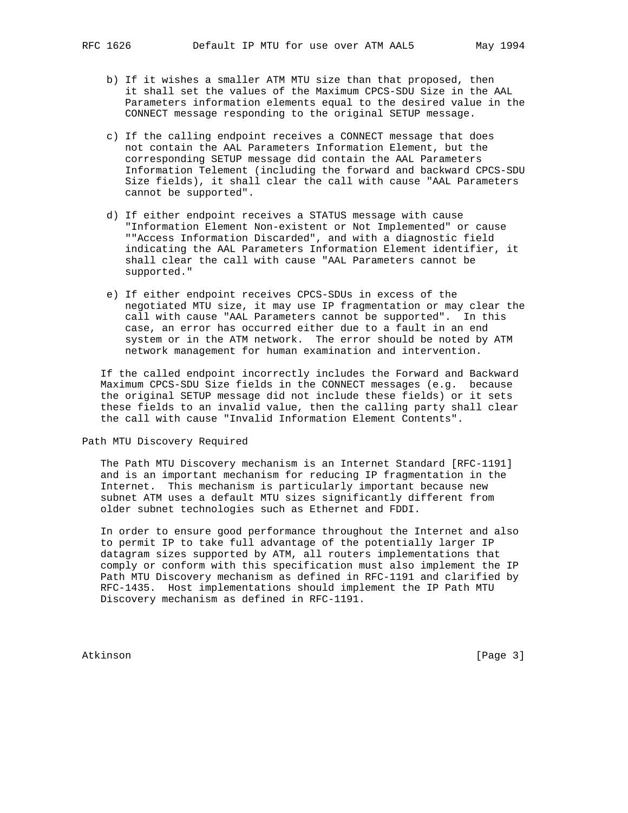- b) If it wishes a smaller ATM MTU size than that proposed, then it shall set the values of the Maximum CPCS-SDU Size in the AAL Parameters information elements equal to the desired value in the CONNECT message responding to the original SETUP message.
- c) If the calling endpoint receives a CONNECT message that does not contain the AAL Parameters Information Element, but the corresponding SETUP message did contain the AAL Parameters Information Telement (including the forward and backward CPCS-SDU Size fields), it shall clear the call with cause "AAL Parameters cannot be supported".
- d) If either endpoint receives a STATUS message with cause "Information Element Non-existent or Not Implemented" or cause ""Access Information Discarded", and with a diagnostic field indicating the AAL Parameters Information Element identifier, it shall clear the call with cause "AAL Parameters cannot be supported."
- e) If either endpoint receives CPCS-SDUs in excess of the negotiated MTU size, it may use IP fragmentation or may clear the call with cause "AAL Parameters cannot be supported". In this case, an error has occurred either due to a fault in an end system or in the ATM network. The error should be noted by ATM network management for human examination and intervention.

 If the called endpoint incorrectly includes the Forward and Backward Maximum CPCS-SDU Size fields in the CONNECT messages (e.g. because the original SETUP message did not include these fields) or it sets these fields to an invalid value, then the calling party shall clear the call with cause "Invalid Information Element Contents".

Path MTU Discovery Required

 The Path MTU Discovery mechanism is an Internet Standard [RFC-1191] and is an important mechanism for reducing IP fragmentation in the Internet. This mechanism is particularly important because new subnet ATM uses a default MTU sizes significantly different from older subnet technologies such as Ethernet and FDDI.

 In order to ensure good performance throughout the Internet and also to permit IP to take full advantage of the potentially larger IP datagram sizes supported by ATM, all routers implementations that comply or conform with this specification must also implement the IP Path MTU Discovery mechanism as defined in RFC-1191 and clarified by RFC-1435. Host implementations should implement the IP Path MTU Discovery mechanism as defined in RFC-1191.

Atkinson [Page 3]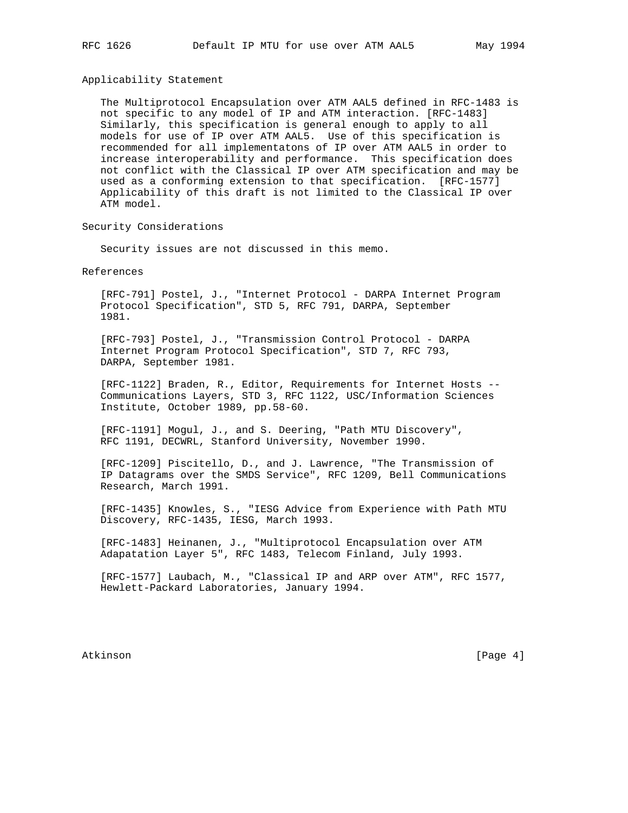Applicability Statement

 The Multiprotocol Encapsulation over ATM AAL5 defined in RFC-1483 is not specific to any model of IP and ATM interaction. [RFC-1483] Similarly, this specification is general enough to apply to all models for use of IP over ATM AAL5. Use of this specification is recommended for all implementatons of IP over ATM AAL5 in order to increase interoperability and performance. This specification does not conflict with the Classical IP over ATM specification and may be used as a conforming extension to that specification. [RFC-1577] Applicability of this draft is not limited to the Classical IP over ATM model.

Security Considerations

Security issues are not discussed in this memo.

References

 [RFC-791] Postel, J., "Internet Protocol - DARPA Internet Program Protocol Specification", STD 5, RFC 791, DARPA, September 1981.

 [RFC-793] Postel, J., "Transmission Control Protocol - DARPA Internet Program Protocol Specification", STD 7, RFC 793, DARPA, September 1981.

 [RFC-1122] Braden, R., Editor, Requirements for Internet Hosts -- Communications Layers, STD 3, RFC 1122, USC/Information Sciences Institute, October 1989, pp.58-60.

 [RFC-1191] Mogul, J., and S. Deering, "Path MTU Discovery", RFC 1191, DECWRL, Stanford University, November 1990.

 [RFC-1209] Piscitello, D., and J. Lawrence, "The Transmission of IP Datagrams over the SMDS Service", RFC 1209, Bell Communications Research, March 1991.

 [RFC-1435] Knowles, S., "IESG Advice from Experience with Path MTU Discovery, RFC-1435, IESG, March 1993.

 [RFC-1483] Heinanen, J., "Multiprotocol Encapsulation over ATM Adapatation Layer 5", RFC 1483, Telecom Finland, July 1993.

 [RFC-1577] Laubach, M., "Classical IP and ARP over ATM", RFC 1577, Hewlett-Packard Laboratories, January 1994.

Atkinson [Page 4]